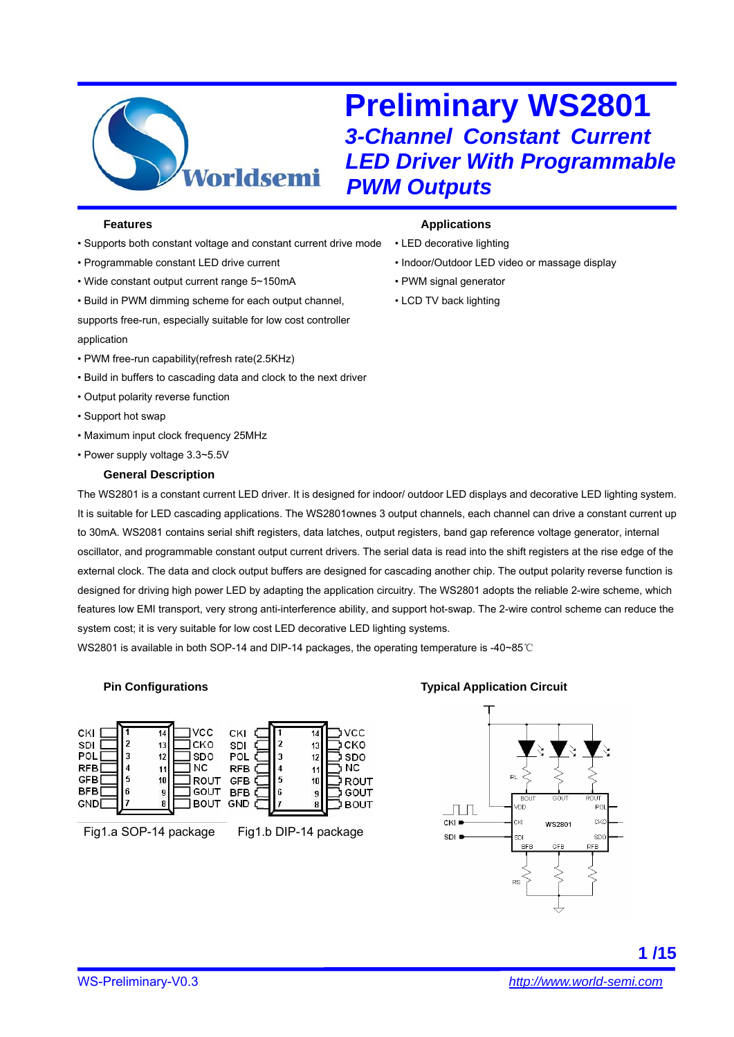

- Supports both constant voltage and constant current drive mode
- Programmable constant LED drive current
- Wide constant output current range 5~150mA
- Build in PWM dimming scheme for each output channel,
- supports free-run, especially suitable for low cost controller application
- PWM free-run capability(refresh rate(2.5KHz)
- Build in buffers to cascading data and clock to the next driver
- Output polarity reverse function
- Support hot swap
- Maximum input clock frequency 25MHz
- Power supply voltage 3.3~5.5V

#### **General Description**

#### **Features** *Applications*

- LED decorative lighting
- Indoor/Outdoor LED video or massage display
- PWM signal generator
- LCD TV back lighting

The WS2801 is a constant current LED driver. It is designed for indoor/ outdoor LED displays and decorative LED lighting system. It is suitable for LED cascading applications. The WS2801ownes 3 output channels, each channel can drive a constant current up to 30mA. WS2081 contains serial shift registers, data latches, output registers, band gap reference voltage generator, internal oscillator, and programmable constant output current drivers. The serial data is read into the shift registers at the rise edge of the external clock. The data and clock output buffers are designed for cascading another chip. The output polarity reverse function is designed for driving high power LED by adapting the application circuitry. The WS2801 adopts the reliable 2-wire scheme, which features low EMI transport, very strong anti-interference ability, and support hot-swap. The 2-wire control scheme can reduce the system cost; it is very suitable for low cost LED decorative LED lighting systems.

**VCC** 

I CKO

SDO

ROUT

GOUT

**BOUT** 

NC

WS2801 is available in both SOP-14 and DIP-14 packages, the operating temperature is -40~85℃

 $\overline{14}$ 

13

 $12$ 

 $11$ 

 $10$ 

 $\frac{9}{8}$ 

#### **Pin Configurations**



Fig1.a SOP-14 package Fig1.b DIP-14 package

 $\overline{\phantom{a}}$ 

3

 $\overline{4}$ 

5

#### **Typical Application Circuit**

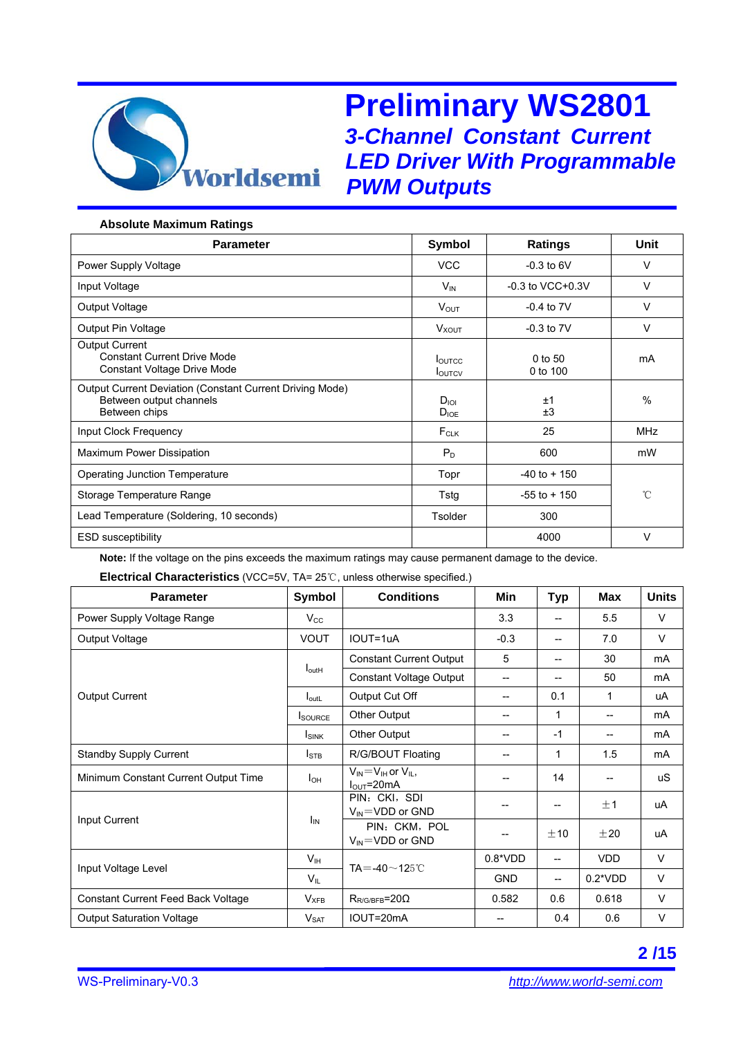

#### **Absolute Maximum Ratings**

| <b>Parameter</b>                                                                                     | Symbol                         | <b>Ratings</b>        | Unit       |  |
|------------------------------------------------------------------------------------------------------|--------------------------------|-----------------------|------------|--|
| Power Supply Voltage                                                                                 | <b>VCC</b>                     | $-0.3$ to 6V          | v          |  |
| Input Voltage                                                                                        | $V_{IN}$                       | $-0.3$ to VCC $+0.3V$ | $\vee$     |  |
| Output Voltage                                                                                       | $V_{OUT}$                      | $-0.4$ to $7V$        | v          |  |
| Output Pin Voltage                                                                                   | <b>V</b> <sub>XOUT</sub>       | $-0.3$ to $7V$        | $\vee$     |  |
| <b>Output Current</b><br><b>Constant Current Drive Mode</b><br>Constant Voltage Drive Mode           | <b>LOUTCC</b><br><b>LOUTCV</b> | 0 to 50<br>0 to 100   | mA         |  |
| Output Current Deviation (Constant Current Driving Mode)<br>Between output channels<br>Between chips | $D_{\text{IO}}$<br>$D_{IOE}$   | ±1<br>±3              | $\%$       |  |
| <b>Input Clock Frequency</b>                                                                         | $F_{CLK}$                      | 25                    | <b>MHz</b> |  |
| <b>Maximum Power Dissipation</b>                                                                     | $P_D$                          | 600                   | mW         |  |
| <b>Operating Junction Temperature</b>                                                                | Topr                           | $-40$ to $+150$       |            |  |
| Storage Temperature Range                                                                            | Tstg                           | $-55$ to $+150$       | °C         |  |
| Lead Temperature (Soldering, 10 seconds)                                                             | <b>Tsolder</b>                 | 300                   |            |  |
| <b>ESD susceptibility</b>                                                                            |                                | 4000                  | v          |  |

**Note:** If the voltage on the pins exceeds the maximum ratings may cause permanent damage to the device.

**Electrical Characteristics** (VCC=5V, TA= 25℃, unless otherwise specified.)

| <b>Parameter</b>                          | Symbol                                    | <b>Conditions</b>                                                  | Min        | <b>Typ</b>               | Max                      | <b>Units</b> |
|-------------------------------------------|-------------------------------------------|--------------------------------------------------------------------|------------|--------------------------|--------------------------|--------------|
| Power Supply Voltage Range                | $V_{\rm CC}$                              |                                                                    | 3.3        | $\overline{\phantom{a}}$ | 5.5                      | V            |
| Output Voltage                            | <b>VOUT</b>                               | IOUT=1uA                                                           | $-0.3$     | --                       | 7.0                      | V            |
|                                           | $I_{\text{outH}}$                         | <b>Constant Current Output</b>                                     | 5          | --                       | 30                       | mA           |
|                                           |                                           | <b>Constant Voltage Output</b>                                     | $-$        |                          | 50                       | mA           |
| <b>Output Current</b>                     | $I_{\text{outL}}$                         | Output Cut Off                                                     | --         | 0.1                      | 1                        | uA           |
|                                           | <b>I</b> source                           | <b>Other Output</b>                                                | --         | 1                        | $\overline{\phantom{a}}$ | mA           |
|                                           | <b>ISINK</b>                              | <b>Other Output</b>                                                | $-$        | $-1$                     | --                       | mA           |
| <b>Standby Supply Current</b>             | <b>I</b> STB                              | R/G/BOUT Floating                                                  |            | 1                        | 1.5                      | mA           |
| Minimum Constant Current Output Time      | I <sub>OH</sub>                           | $V_{IN} = V_{IH}$ or $V_{II}$ ,<br>$I_{\text{OUT}} = 20 \text{mA}$ |            | 14                       |                          | <b>uS</b>    |
|                                           | $I_{IN}$                                  | PIN: CKI, SDI<br>$V_{IN}$ =VDD or GND                              |            | --                       | ±1                       | uA           |
| Input Current                             |                                           | PIN: CKM, POL<br>$V_{IN}$ =VDD or GND                              |            | ±10                      | ±20                      | uA           |
|                                           | $V_{\scriptscriptstyle\parallel\text{H}}$ | TA = -40 $\sim$ 125 ℃                                              | $0.8*VDD$  | --                       | <b>VDD</b>               | $\vee$       |
| Input Voltage Level                       | $V_{IL}$                                  |                                                                    | <b>GND</b> | --                       | $0.2*VDD$                | $\vee$       |
| <b>Constant Current Feed Back Voltage</b> | $V_{XFB}$                                 | $R_{R/G/BFB}$ =20 $\Omega$                                         | 0.582      | 0.6                      | 0.618                    | $\vee$       |
| <b>Output Saturation Voltage</b>          | $V_{\text{SAT}}$                          | IOUT=20mA                                                          | $-$        | 0.4                      | 0.6                      | V            |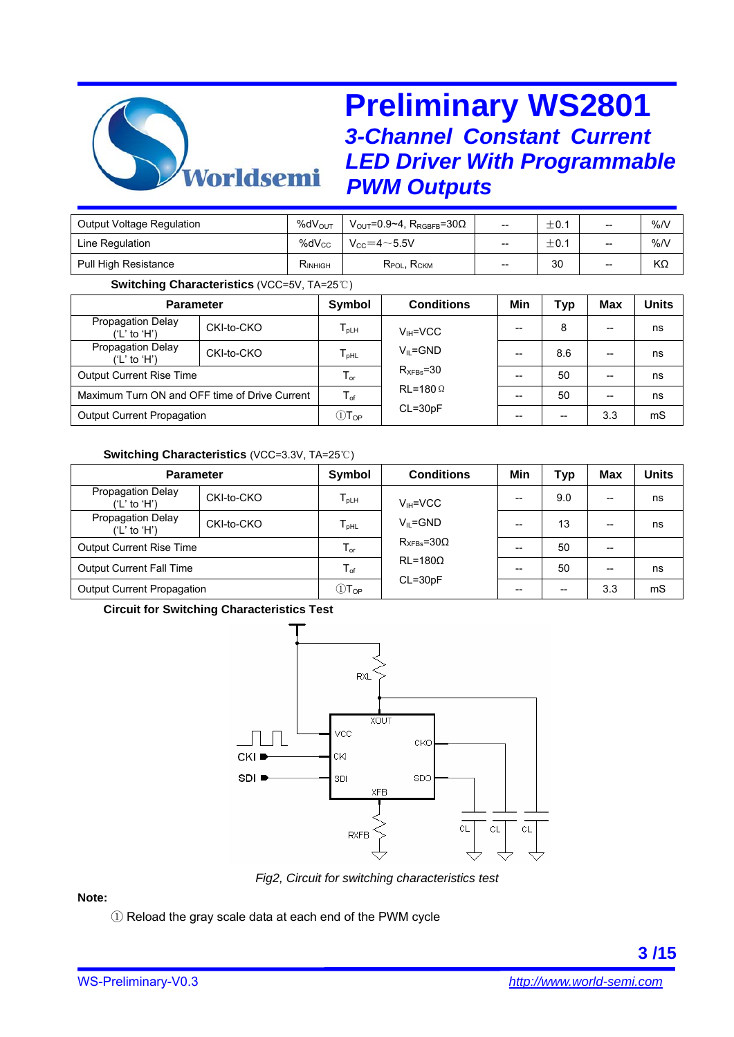

| $%dV_{OUT}$     | $V_{\rm OUT}$ =0.9~4, R <sub>RGBFB</sub> =30 $\Omega$ | $\hspace{0.05cm}$ | ±0.1 | -- | %N |
|-----------------|-------------------------------------------------------|-------------------|------|----|----|
| $\%$ d $V_{CC}$ | $V_{CC} = 4 \sim 5.5V$                                | --                | ±0.1 | -- | %N |
| $R_{INHIGH}$    | $R_{POL}$ , $R_{CKM}$                                 | $\hspace{0.05cm}$ | 30   | -- | KΩ |
|                 |                                                       |                   |      |    |    |

#### **Switching Characteristics** (VCC=5V, TA=25℃)

| <b>Parameter</b>                              |            | Symbol                                | <b>Conditions</b> | Min   | <b>Typ</b> | Max                                   | <b>Units</b> |
|-----------------------------------------------|------------|---------------------------------------|-------------------|-------|------------|---------------------------------------|--------------|
| Propagation Delay<br>('L' to 'H')             | CKI-to-CKO | $T_{\sf p LH}$                        | $V_{IH} = VCC$    | --    | 8          | $\overline{\phantom{m}}$              | ns           |
| Propagation Delay<br>('L' to 'H')             | CKI-to-CKO | ${\mathsf T}_{\sf pHL}$               | $V_{II} = GND$    | $-$   | 8.6        | $\hspace{0.05cm}$ – $\hspace{0.05cm}$ | ns           |
| <b>Output Current Rise Time</b>               |            | ${\mathsf T}_{\mathsf or}$            | $R_{XFBs} = 30$   | --    | 50         | $\hspace{0.05cm}$ – $\hspace{0.05cm}$ | ns           |
| Maximum Turn ON and OFF time of Drive Current |            | $T_{\text{of}}$                       | $RL = 180 \Omega$ | $- -$ | 50         | $\overline{\phantom{m}}$              | ns           |
| Output Current Propagation                    |            | $\mathbb{O} \mathsf{T}_{\mathsf{OP}}$ | $CL = 30pF$       | --    |            | 3.3                                   | mS           |

### **Switching Characteristics** (VCC=3.3V, TA=25℃)

| <b>Parameter</b>                  |            | Symbol                                | <b>Conditions</b>                                        | Min   | <b>Typ</b> | Max   | Units |
|-----------------------------------|------------|---------------------------------------|----------------------------------------------------------|-------|------------|-------|-------|
| Propagation Delay<br>('L' to 'H') | CKI-to-CKO | $T_{\sf pLH}$                         | $V_{\text{H}}$ =VCC                                      | --    | 9.0        | $-$   | ns    |
| Propagation Delay<br>('L' to 'H') | CKI-to-CKO | ${\mathsf T}_{\sf pHL}$               | $V_{II} = GND$                                           | --    | 13         | $- -$ | ns    |
| <b>Output Current Rise Time</b>   |            | ${\mathsf T}_{\mathsf or}$            | $R_{XFBs} = 30\Omega$<br>$RL = 180\Omega$<br>$CL = 30pF$ | --    | 50         | $- -$ |       |
| <b>Output Current Fall Time</b>   |            | $\mathsf{T}_{\mathsf{of}}$            |                                                          | $- -$ | 50         | $- -$ | ns    |
| Output Current Propagation        |            | $\mathbb{O} \mathsf{T}_{\mathsf{OP}}$ |                                                          | --    |            | 3.3   | mS    |

### **Circuit for Switching Characteristics Test**



*Fig2, Circuit for switching characteristics test*

### **Note:**

① Reload the gray scale data at each end of the PWM cycle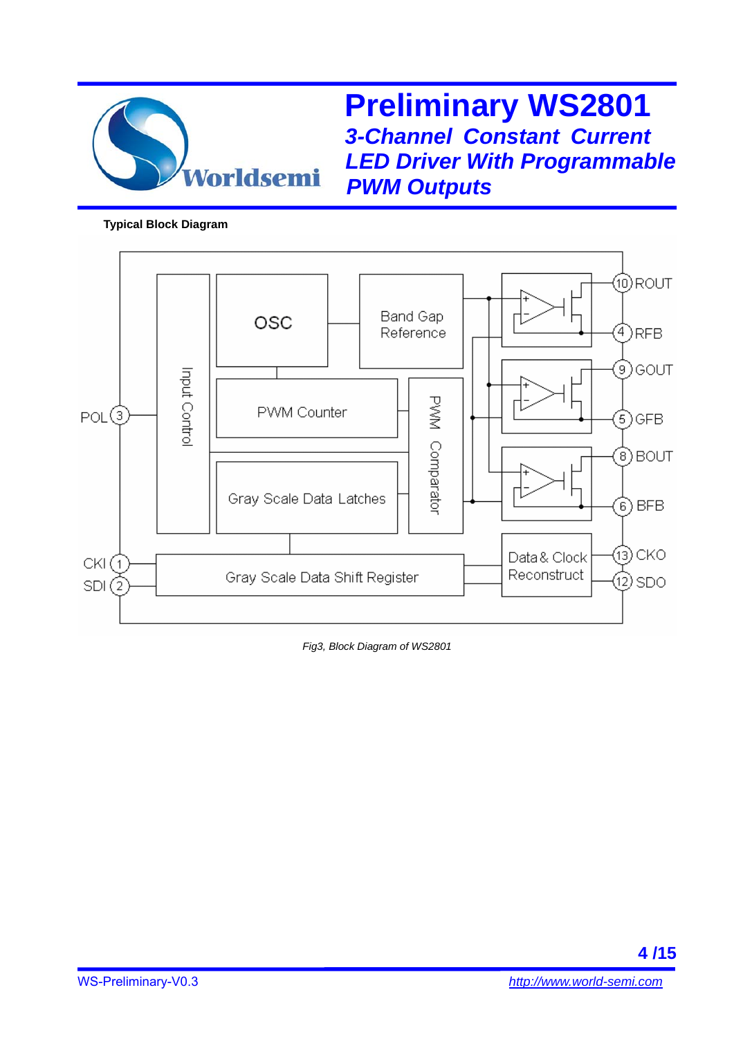

**Typical Block Diagram** 



*Fig3, Block Diagram of WS2801*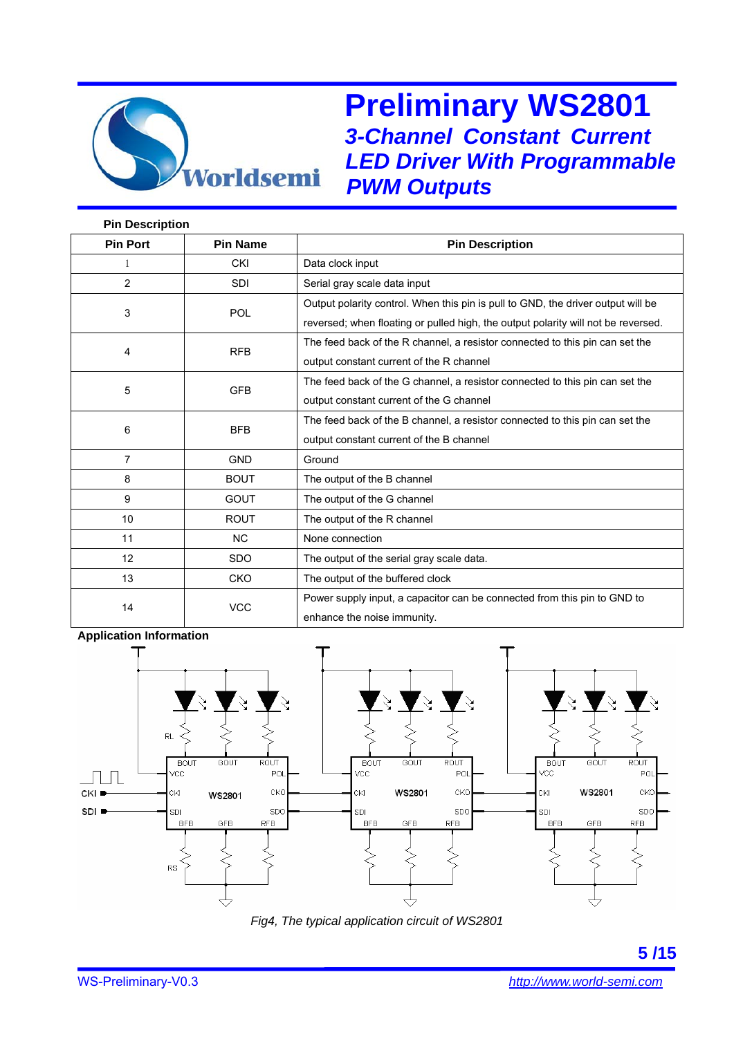

| <b>Pin Description</b> |                 |                                                                                   |
|------------------------|-----------------|-----------------------------------------------------------------------------------|
| <b>Pin Port</b>        | <b>Pin Name</b> | <b>Pin Description</b>                                                            |
| 1                      | <b>CKI</b>      | Data clock input                                                                  |
| $\overline{2}$         | <b>SDI</b>      | Serial gray scale data input                                                      |
| 3                      | <b>POL</b>      | Output polarity control. When this pin is pull to GND, the driver output will be  |
|                        |                 | reversed; when floating or pulled high, the output polarity will not be reversed. |
| 4                      | <b>RFB</b>      | The feed back of the R channel, a resistor connected to this pin can set the      |
|                        |                 | output constant current of the R channel                                          |
| 5                      | <b>GFB</b>      | The feed back of the G channel, a resistor connected to this pin can set the      |
|                        |                 | output constant current of the G channel                                          |
| 6                      | <b>BFB</b>      | The feed back of the B channel, a resistor connected to this pin can set the      |
|                        |                 | output constant current of the B channel                                          |
| $\overline{7}$         | <b>GND</b>      | Ground                                                                            |
| 8                      | <b>BOUT</b>     | The output of the B channel                                                       |
| 9                      | <b>GOUT</b>     | The output of the G channel                                                       |
| 10                     | <b>ROUT</b>     | The output of the R channel                                                       |
| 11                     | <b>NC</b>       | None connection                                                                   |
| 12                     | <b>SDO</b>      | The output of the serial gray scale data.                                         |
| 13                     | <b>CKO</b>      | The output of the buffered clock                                                  |
|                        | <b>VCC</b>      | Power supply input, a capacitor can be connected from this pin to GND to          |
| 14                     |                 | enhance the noise immunity.                                                       |

#### **Application Information**



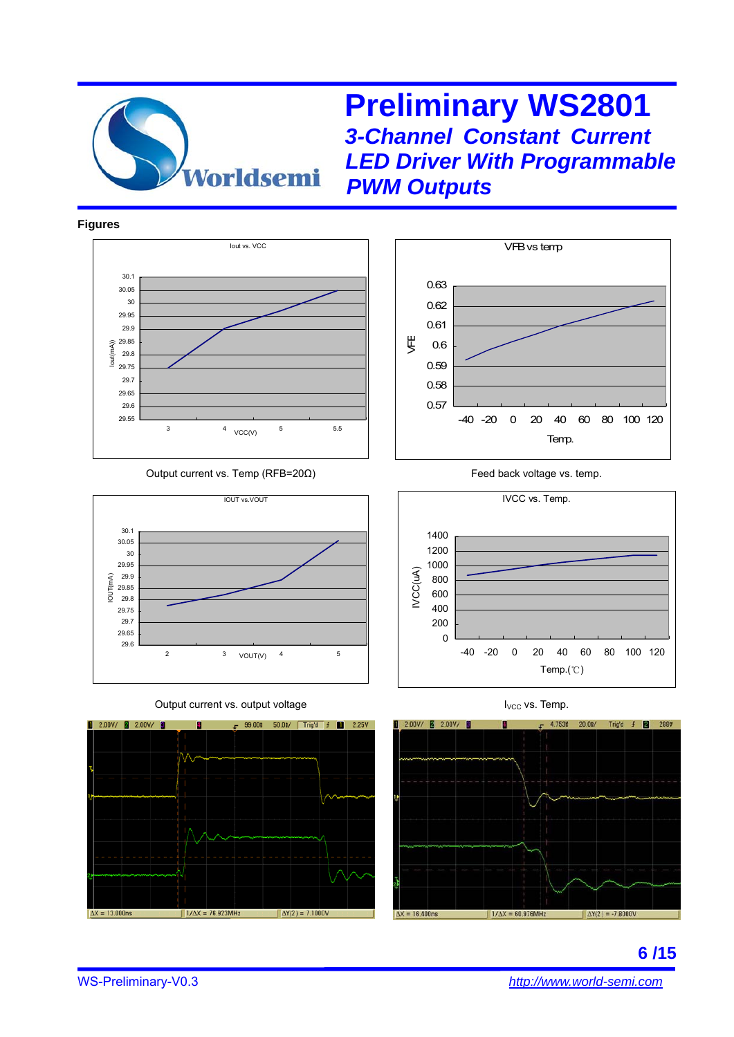

#### **Figures**



#### Output current vs. Temp (RFB=20Ω) Feed back voltage vs. temp.



Output current vs. output voltage IVCC vs. Temp. If you can also vs. Temp.









**6 /15** 

WS-Preliminary-V0.3 *http://www.world-semi.com*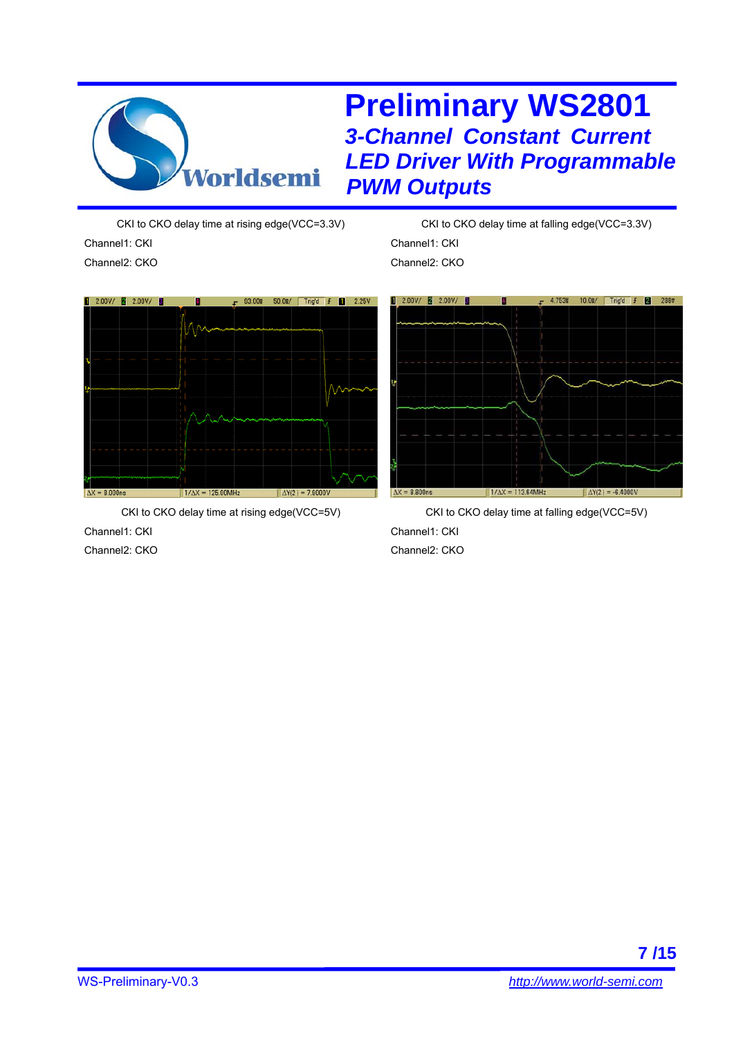

CKI to CKO delay time at rising edge(VCC=3.3V) Channel1: CKI Channel2: CKO



CKI to CKO delay time at rising edge(VCC=5V) Channel1: CKI Channel2: CKO

CKI to CKO delay time at falling edge(VCC=3.3V) Channel1: CKI Channel2: CKO



CKI to CKO delay time at falling edge(VCC=5V) Channel1: CKI Channel2: CKO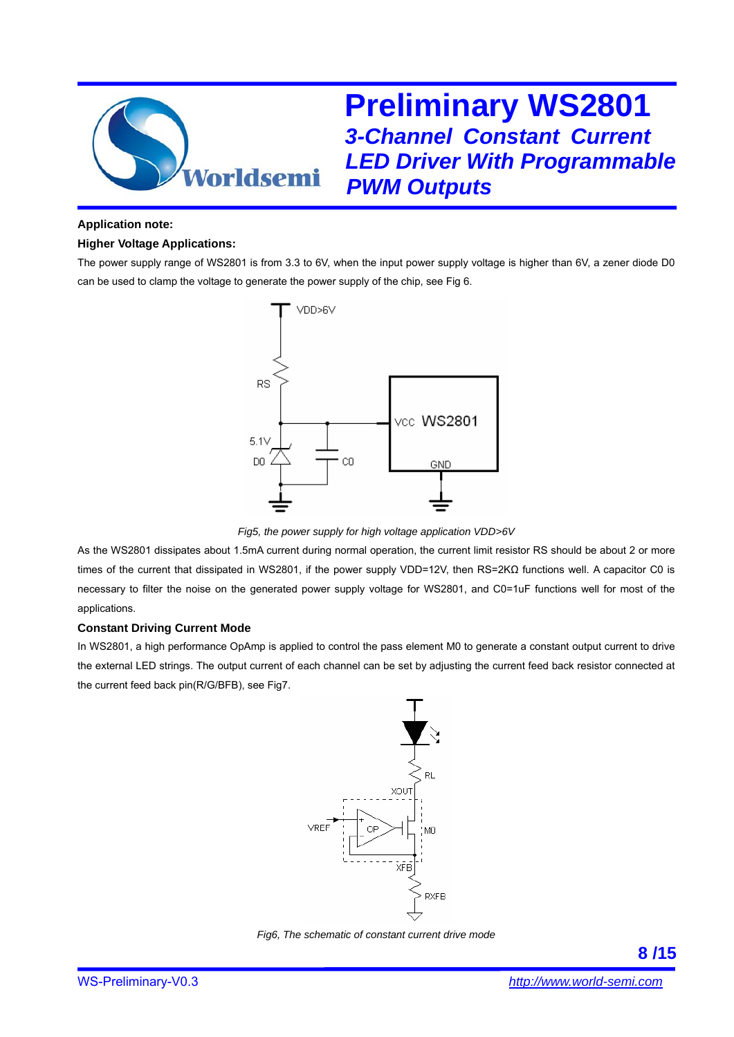

#### **Application note:**

#### **Higher Voltage Applications:**

The power supply range of WS2801 is from 3.3 to 6V, when the input power supply voltage is higher than 6V, a zener diode D0 can be used to clamp the voltage to generate the power supply of the chip, see Fig 6.



*Fig5, the power supply for high voltage application VDD>6V* 

As the WS2801 dissipates about 1.5mA current during normal operation, the current limit resistor RS should be about 2 or more times of the current that dissipated in WS2801, if the power supply VDD=12V, then RS=2KΩ functions well. A capacitor C0 is necessary to filter the noise on the generated power supply voltage for WS2801, and C0=1uF functions well for most of the applications.

#### **Constant Driving Current Mode**

In WS2801, a high performance OpAmp is applied to control the pass element M0 to generate a constant output current to drive the external LED strings. The output current of each channel can be set by adjusting the current feed back resistor connected at the current feed back pin(R/G/BFB), see Fig7.



*Fig6, The schematic of constant current drive mode*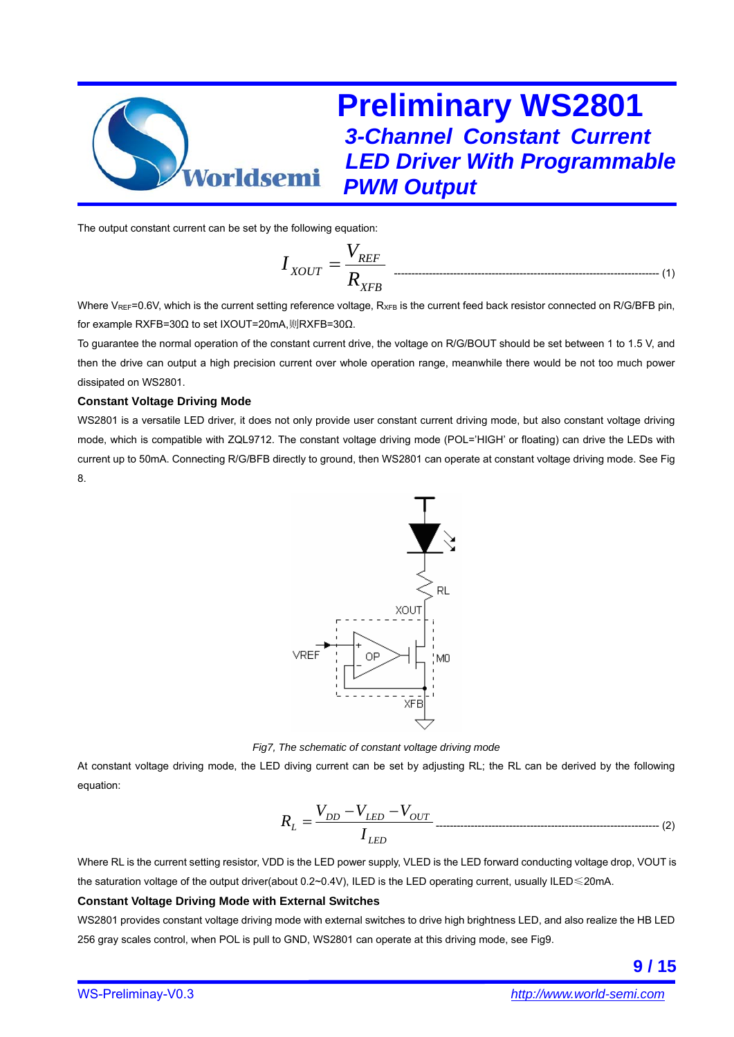

The output constant current can be set by the following equation:

$$
I_{XOUT} = \frac{V_{REF}}{R_{XFB}}
$$
 (1)

Where  $V_{REF}=0.6V$ , which is the current setting reference voltage,  $R_{XFB}$  is the current feed back resistor connected on R/G/BFB pin, for example RXFB=30Ω to set IXOUT=20mA,则RXFB=30Ω.

To guarantee the normal operation of the constant current drive, the voltage on R/G/BOUT should be set between 1 to 1.5 V, and then the drive can output a high precision current over whole operation range, meanwhile there would be not too much power dissipated on WS2801.

#### **Constant Voltage Driving Mode**

WS2801 is a versatile LED driver, it does not only provide user constant current driving mode, but also constant voltage driving mode, which is compatible with ZQL9712. The constant voltage driving mode (POL='HIGH' or floating) can drive the LEDs with current up to 50mA. Connecting R/G/BFB directly to ground, then WS2801 can operate at constant voltage driving mode. See Fig 8.



*Fig7, The schematic of constant voltage driving mode* 

At constant voltage driving mode, the LED diving current can be set by adjusting RL; the RL can be derived by the following equation:

$$
R_L = \frac{V_{DD} - V_{LED} - V_{OUT}}{I_{LED}}
$$

Where RL is the current setting resistor, VDD is the LED power supply, VLED is the LED forward conducting voltage drop, VOUT is the saturation voltage of the output driver(about 0.2~0.4V), ILED is the LED operating current, usually ILED≤20mA.

#### **Constant Voltage Driving Mode with External Switches**

WS2801 provides constant voltage driving mode with external switches to drive high brightness LED, and also realize the HB LED 256 gray scales control, when POL is pull to GND, WS2801 can operate at this driving mode, see Fig9.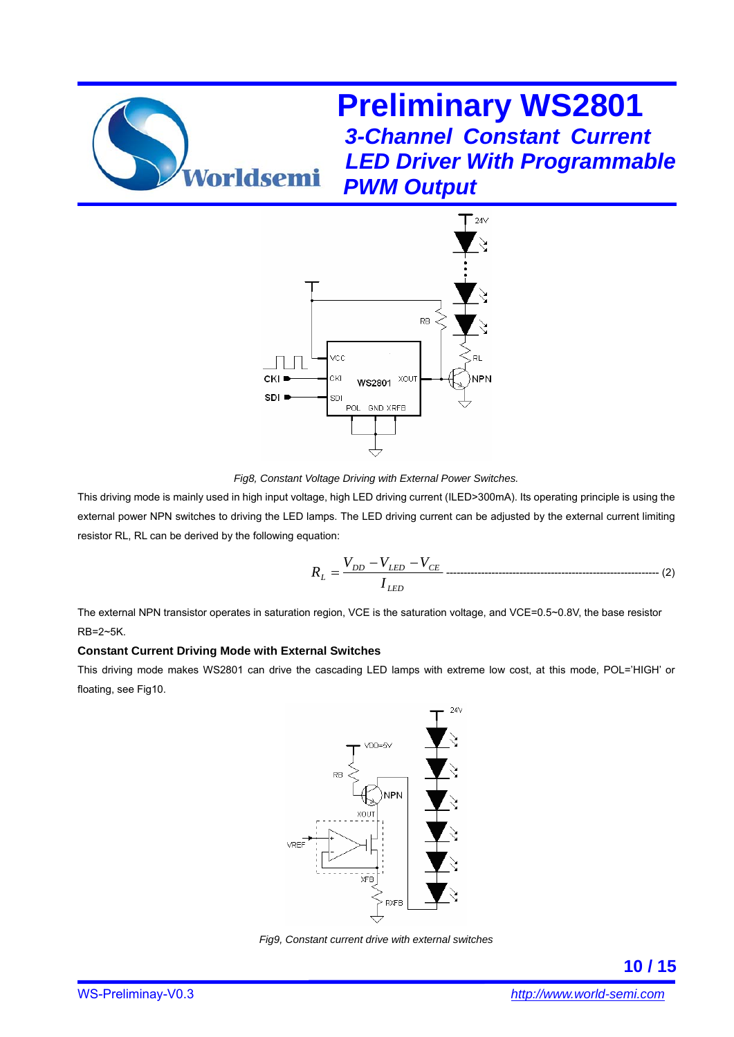

*Fig8, Constant Voltage Driving with External Power Switches.* 

This driving mode is mainly used in high input voltage, high LED driving current (ILED>300mA). Its operating principle is using the external power NPN switches to driving the LED lamps. The LED driving current can be adjusted by the external current limiting resistor RL, RL can be derived by the following equation:

$$
R_{L} = \frac{V_{DD} - V_{LED} - V_{CE}}{I_{LED}}
$$

The external NPN transistor operates in saturation region, VCE is the saturation voltage, and VCE=0.5~0.8V, the base resistor RB=2~5K.

#### **Constant Current Driving Mode with External Switches**

This driving mode makes WS2801 can drive the cascading LED lamps with extreme low cost, at this mode, POL='HIGH' or floating, see Fig10.



*Fig9, Constant current drive with external switches*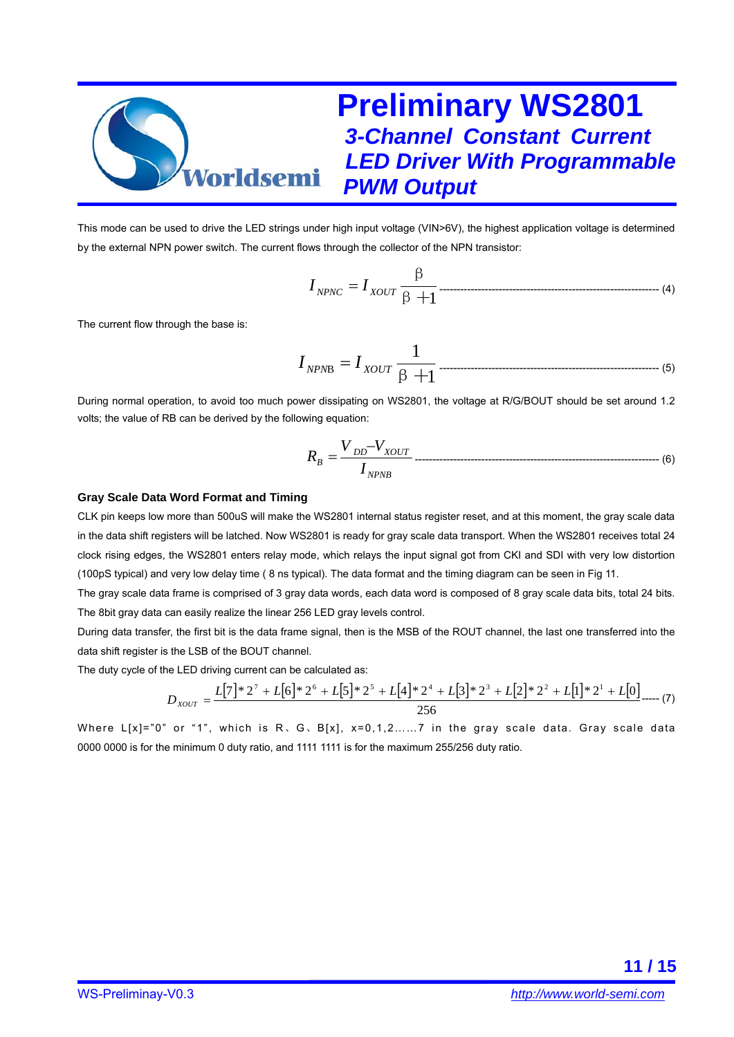

This mode can be used to drive the LED strings under high input voltage (VIN>6V), the highest application voltage is determined by the external NPN power switch. The current flows through the collector of the NPN transistor:

β+1 β *NPNC XOUT* = *II* --------------------------------------------------------------- (4)

The current flow through the base is:

1 1 <sup>B</sup> β+ *NPN XOUT* <sup>=</sup> *II* --------------------------------------------------------------- (5)

During normal operation, to avoid too much power dissipating on WS2801, the voltage at R/G/BOUT should be set around 1.2 volts; the value of RB can be derived by the following equation:

*NPNB DD XOUT <sup>B</sup> I VV <sup>R</sup>* <sup>−</sup> <sup>=</sup> ---------------------------------------------------------------------- (6)

#### **Gray Scale Data Word Format and Timing**

CLK pin keeps low more than 500uS will make the WS2801 internal status register reset, and at this moment, the gray scale data in the data shift registers will be latched. Now WS2801 is ready for gray scale data transport. When the WS2801 receives total 24 clock rising edges, the WS2801 enters relay mode, which relays the input signal got from CKI and SDI with very low distortion (100pS typical) and very low delay time ( 8 ns typical). The data format and the timing diagram can be seen in Fig 11.

The gray scale data frame is comprised of 3 gray data words, each data word is composed of 8 gray scale data bits, total 24 bits. The 8bit gray data can easily realize the linear 256 LED gray levels control.

During data transfer, the first bit is the data frame signal, then is the MSB of the ROUT channel, the last one transferred into the data shift register is the LSB of the BOUT channel.

The duty cycle of the LED driving current can be calculated as:

$$
D_{XOUT} = \frac{L[7]*2^7 + L[6]*2^6 + L[5]*2^5 + L[4]*2^4 + L[3]*2^3 + L[2]*2^2 + L[1]*2^1 + L[0]}{256} \dots (7)
$$

Where  $L[x] = 0$ " or "1", which is R, G, B[x],  $x=0,1,2,...,7$  in the gray scale data. Gray scale data 0000 0000 is for the minimum 0 duty ratio, and 1111 1111 is for the maximum 255/256 duty ratio.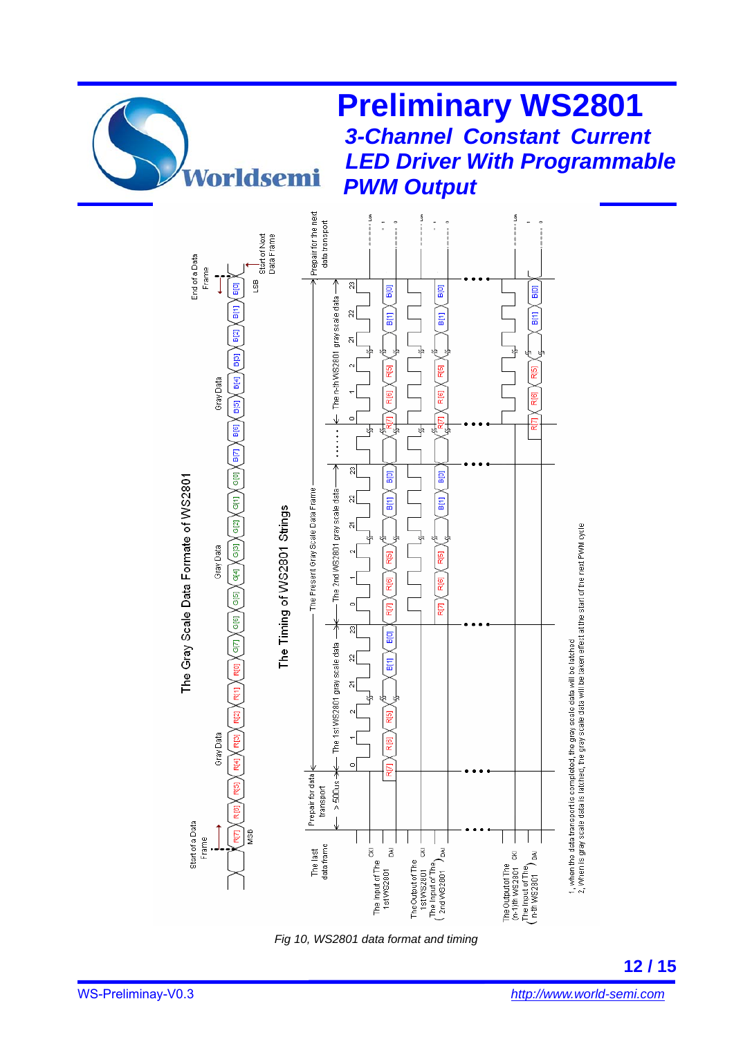

**Preliminary WS2801** 

*3-Channel Constant Current* 

*Fig 10, WS2801 data format and timing*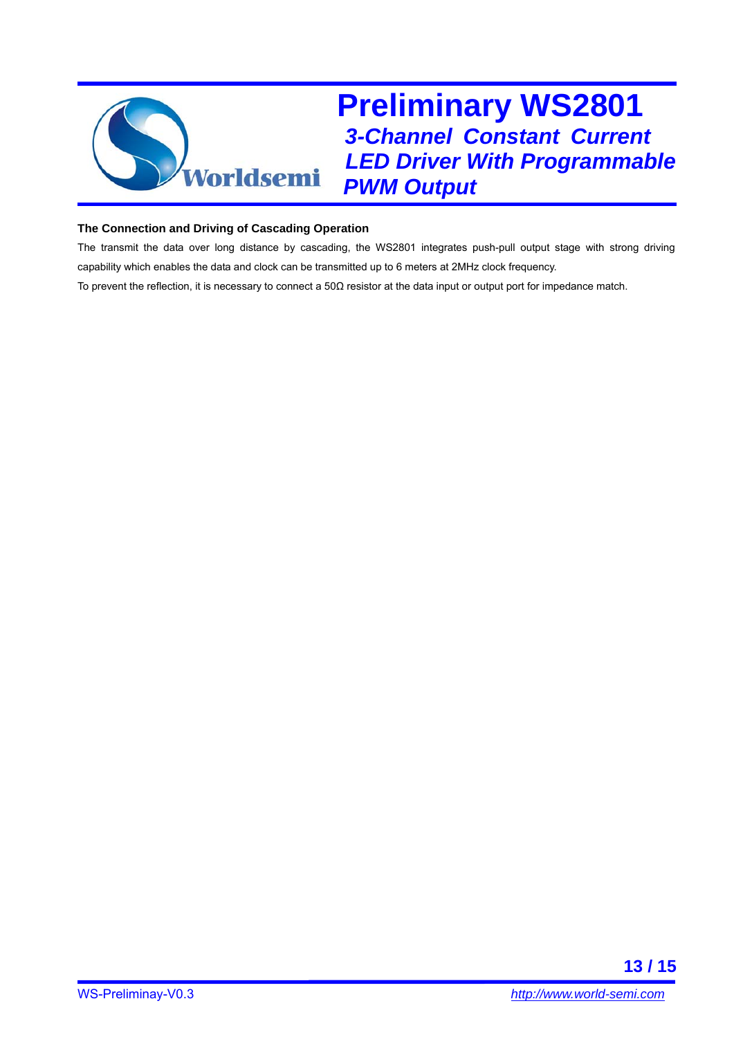

#### **The Connection and Driving of Cascading Operation**

The transmit the data over long distance by cascading, the WS2801 integrates push-pull output stage with strong driving capability which enables the data and clock can be transmitted up to 6 meters at 2MHz clock frequency.

To prevent the reflection, it is necessary to connect a  $50\Omega$  resistor at the data input or output port for impedance match.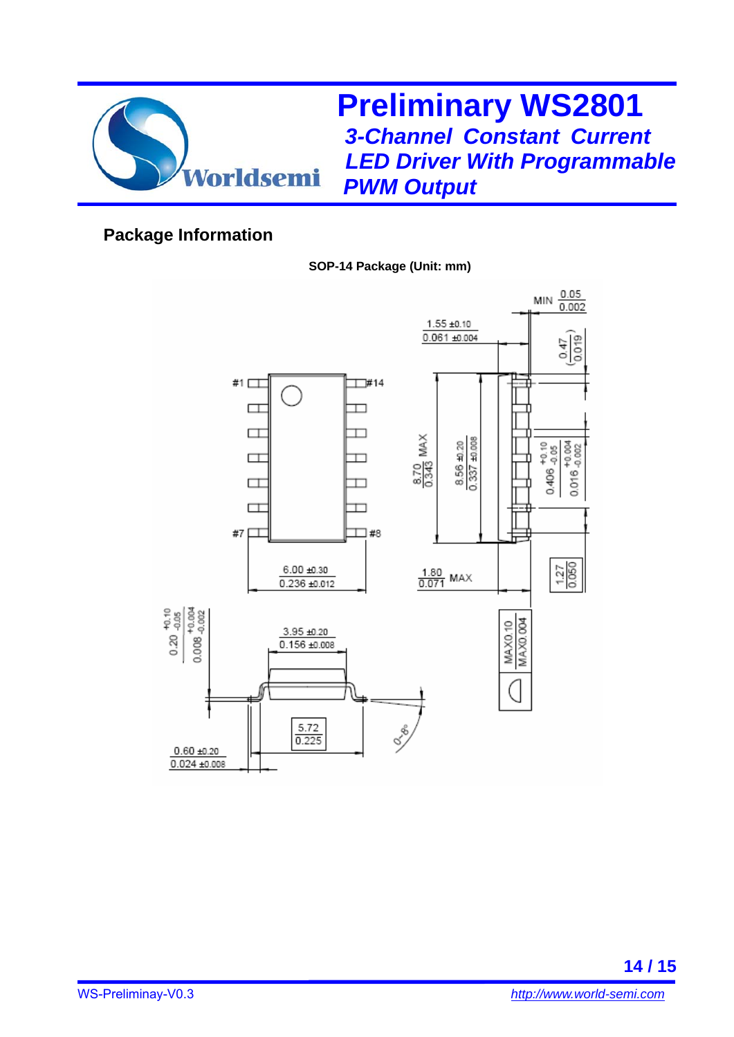

### **Package Information**

### **SOP-14 Package (Unit: mm)**